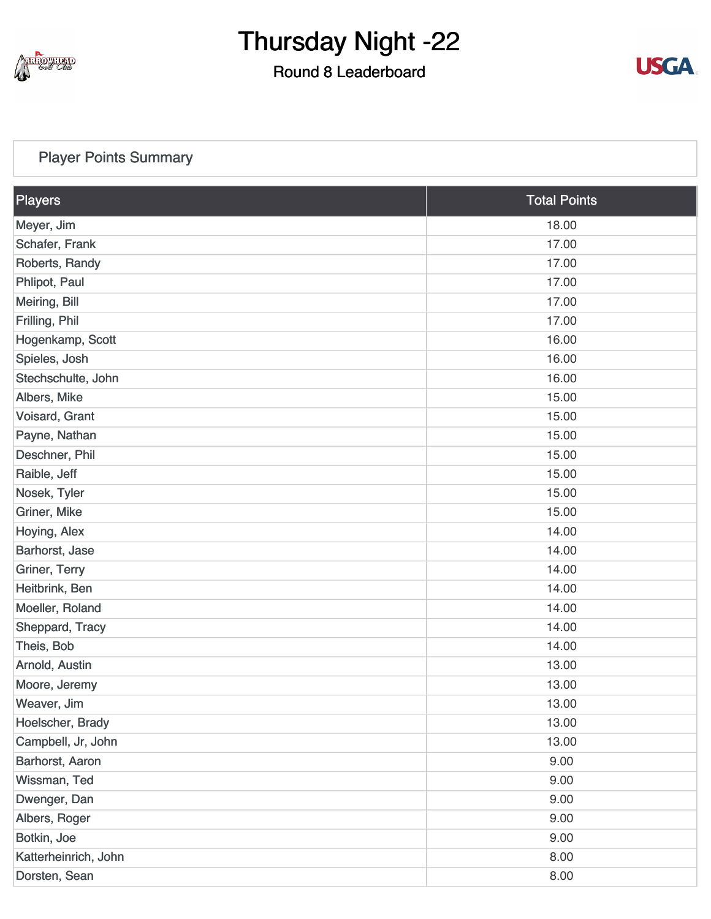

### Round 8 Leaderboard



### [Player Points Summary](https://static.golfgenius.com/v2tournaments/total_points?league_id=8410389304542504110&round_id=8410393923477841378)

| Players              | <b>Total Points</b> |  |
|----------------------|---------------------|--|
| Meyer, Jim           | 18.00               |  |
| Schafer, Frank       | 17.00               |  |
| Roberts, Randy       | 17.00               |  |
| Phlipot, Paul        | 17.00               |  |
| Meiring, Bill        | 17.00               |  |
| Frilling, Phil       | 17.00               |  |
| Hogenkamp, Scott     | 16.00               |  |
| Spieles, Josh        | 16.00               |  |
| Stechschulte, John   | 16.00               |  |
| Albers, Mike         | 15.00               |  |
| Voisard, Grant       | 15.00               |  |
| Payne, Nathan        | 15.00               |  |
| Deschner, Phil       | 15.00               |  |
| Raible, Jeff         | 15.00               |  |
| Nosek, Tyler         | 15.00               |  |
| Griner, Mike         | 15.00               |  |
| Hoying, Alex         | 14.00               |  |
| Barhorst, Jase       | 14.00               |  |
| Griner, Terry        | 14.00               |  |
| Heitbrink, Ben       | 14.00               |  |
| Moeller, Roland      | 14.00               |  |
| Sheppard, Tracy      | 14.00               |  |
| Theis, Bob           | 14.00               |  |
| Arnold, Austin       | 13.00               |  |
| Moore, Jeremy        | 13.00               |  |
| Weaver, Jim          | 13.00               |  |
| Hoelscher, Brady     | 13.00               |  |
| Campbell, Jr, John   | 13.00               |  |
| Barhorst, Aaron      | 9.00                |  |
| Wissman, Ted         | 9.00                |  |
| Dwenger, Dan         | 9.00                |  |
| Albers, Roger        | 9.00                |  |
| Botkin, Joe          | 9.00                |  |
| Katterheinrich, John | 8.00                |  |
| Dorsten, Sean        | 8.00                |  |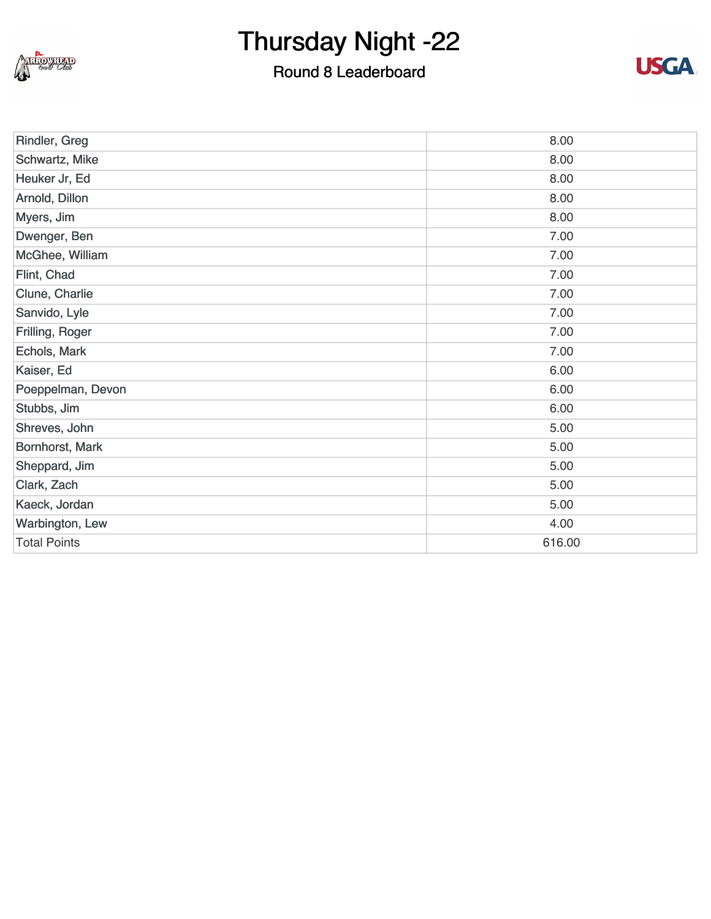

### Round 8 Leaderboard



| Rindler, Greg       | 8.00   |
|---------------------|--------|
| Schwartz, Mike      | 8.00   |
| Heuker Jr, Ed       | 8.00   |
| Arnold, Dillon      | 8.00   |
| Myers, Jim          | 8.00   |
| Dwenger, Ben        | 7.00   |
| McGhee, William     | 7.00   |
| Flint, Chad         | 7.00   |
| Clune, Charlie      | 7.00   |
| Sanvido, Lyle       | 7.00   |
| Frilling, Roger     | 7.00   |
| Echols, Mark        | 7.00   |
| Kaiser, Ed          | 6.00   |
| Poeppelman, Devon   | 6.00   |
| Stubbs, Jim         | 6.00   |
| Shreves, John       | 5.00   |
| Bornhorst, Mark     | 5.00   |
| Sheppard, Jim       | 5.00   |
| Clark, Zach         | 5.00   |
| Kaeck, Jordan       | 5.00   |
| Warbington, Lew     | 4.00   |
| <b>Total Points</b> | 616.00 |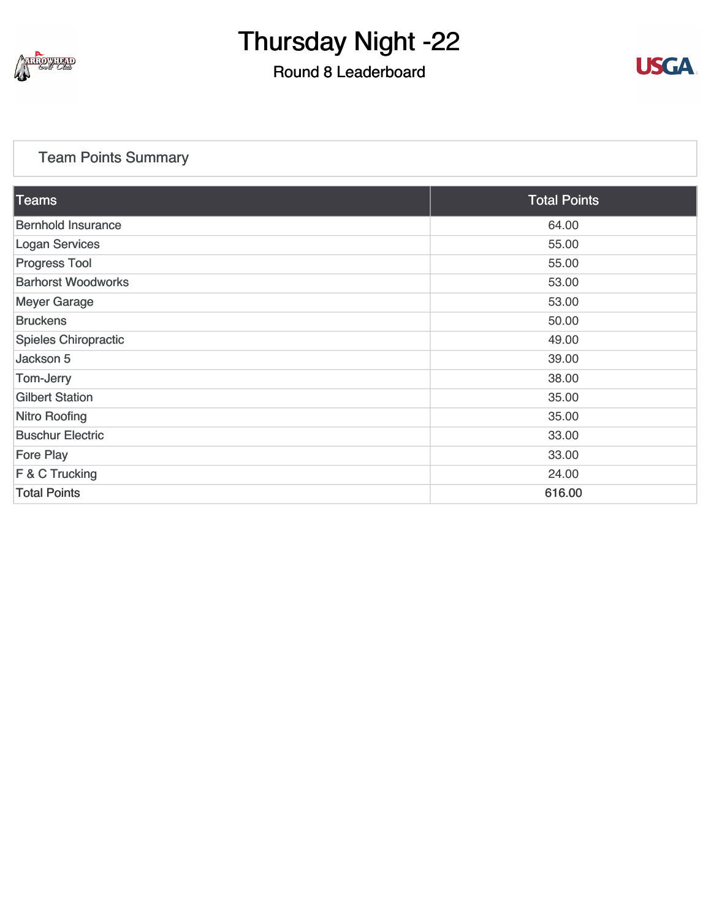

### Round 8 Leaderboard



### [Team Points Summary](https://static.golfgenius.com/v2tournaments/team_points?league_id=8410389304542504110&round_id=8410393923477841378)

| Teams                       | <b>Total Points</b> |
|-----------------------------|---------------------|
| <b>Bernhold Insurance</b>   | 64.00               |
| <b>Logan Services</b>       | 55.00               |
| <b>Progress Tool</b>        | 55.00               |
| <b>Barhorst Woodworks</b>   | 53.00               |
| <b>Meyer Garage</b>         | 53.00               |
| <b>Bruckens</b>             | 50.00               |
| <b>Spieles Chiropractic</b> | 49.00               |
| Jackson 5                   | 39.00               |
| Tom-Jerry                   | 38.00               |
| <b>Gilbert Station</b>      | 35.00               |
| <b>Nitro Roofing</b>        | 35.00               |
| <b>Buschur Electric</b>     | 33.00               |
| <b>Fore Play</b>            | 33.00               |
| F & C Trucking              | 24.00               |
| <b>Total Points</b>         | 616.00              |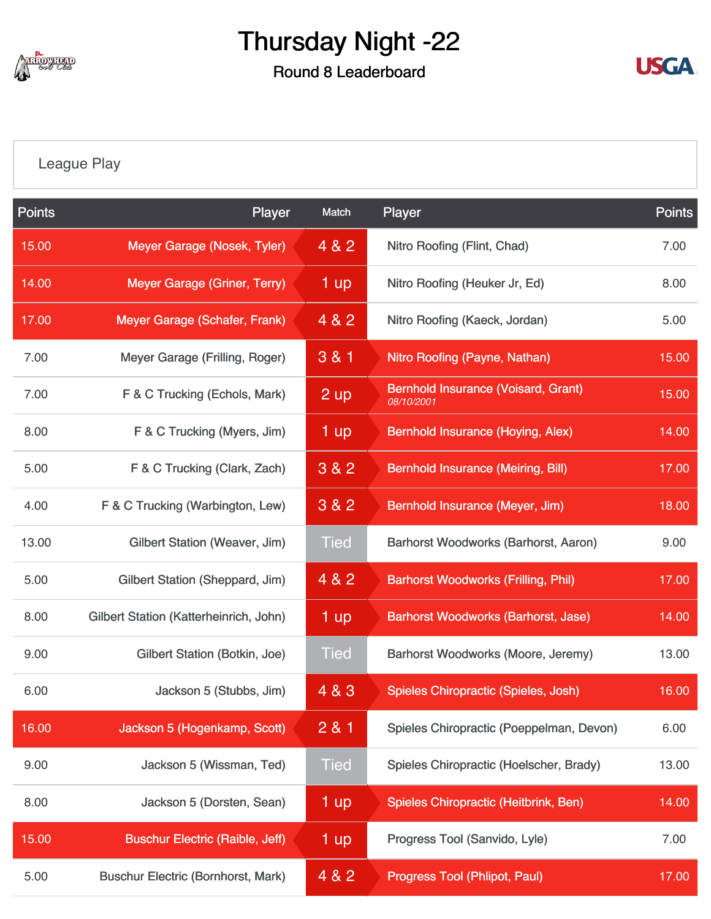

Round 8 Leaderboard



### [League Play](https://static.golfgenius.com/v2tournaments/8410488242503165436?called_from=&round_index=8)

| <b>Points</b> | Player                                    | Match       | Player                                                   | <b>Points</b> |
|---------------|-------------------------------------------|-------------|----------------------------------------------------------|---------------|
| 15.00         | Meyer Garage (Nosek, Tyler)               | 4 & 2       | Nitro Roofing (Flint, Chad)                              | 7.00          |
| 14.00         | Meyer Garage (Griner, Terry)              | 1 up        | Nitro Roofing (Heuker Jr, Ed)                            | 8.00          |
| 17.00         | Meyer Garage (Schafer, Frank)             | 4 & 2       | Nitro Roofing (Kaeck, Jordan)                            | 5.00          |
| 7.00          | Meyer Garage (Frilling, Roger)            | 3 & 1       | Nitro Roofing (Payne, Nathan)                            | 15.00         |
| 7.00          | F & C Trucking (Echols, Mark)             | 2 up        | <b>Bernhold Insurance (Voisard, Grant)</b><br>08/10/2001 | 15.00         |
| 8.00          | F & C Trucking (Myers, Jim)               | 1 up        | Bernhold Insurance (Hoying, Alex)                        | 14.00         |
| 5.00          | F & C Trucking (Clark, Zach)              | 3 & 2       | <b>Bernhold Insurance (Meiring, Bill)</b>                | 17.00         |
| 4.00          | F & C Trucking (Warbington, Lew)          | 3 & 2       | Bernhold Insurance (Meyer, Jim)                          | 18.00         |
| 13.00         | Gilbert Station (Weaver, Jim)             | <b>Tied</b> | Barhorst Woodworks (Barhorst, Aaron)                     | 9.00          |
| 5.00          | Gilbert Station (Sheppard, Jim)           | 4 & 2       | <b>Barhorst Woodworks (Frilling, Phil)</b>               | 17.00         |
| 8.00          | Gilbert Station (Katterheinrich, John)    | 1 up        | <b>Barhorst Woodworks (Barhorst, Jase)</b>               | 14.00         |
| 9.00          | Gilbert Station (Botkin, Joe)             | <b>Tied</b> | <b>Barhorst Woodworks (Moore, Jeremy)</b>                | 13.00         |
| 6.00          | Jackson 5 (Stubbs, Jim)                   | 4 & 3       | Spieles Chiropractic (Spieles, Josh)                     | 16.00         |
| 16.00         | Jackson 5 (Hogenkamp, Scott)              | 281         | Spieles Chiropractic (Poeppelman, Devon)                 | 6.00          |
| 9.00          | Jackson 5 (Wissman, Ted)                  | <b>Tied</b> | Spieles Chiropractic (Hoelscher, Brady)                  | 13.00         |
| 8.00          | Jackson 5 (Dorsten, Sean)                 | 1 up        | Spieles Chiropractic (Heitbrink, Ben)                    | 14.00         |
| 15.00         | <b>Buschur Electric (Raible, Jeff)</b>    | 1 up        | Progress Tool (Sanvido, Lyle)                            | 7.00          |
| 5.00          | <b>Buschur Electric (Bornhorst, Mark)</b> | 4 & 2       | <b>Progress Tool (Phlipot, Paul)</b>                     | 17.00         |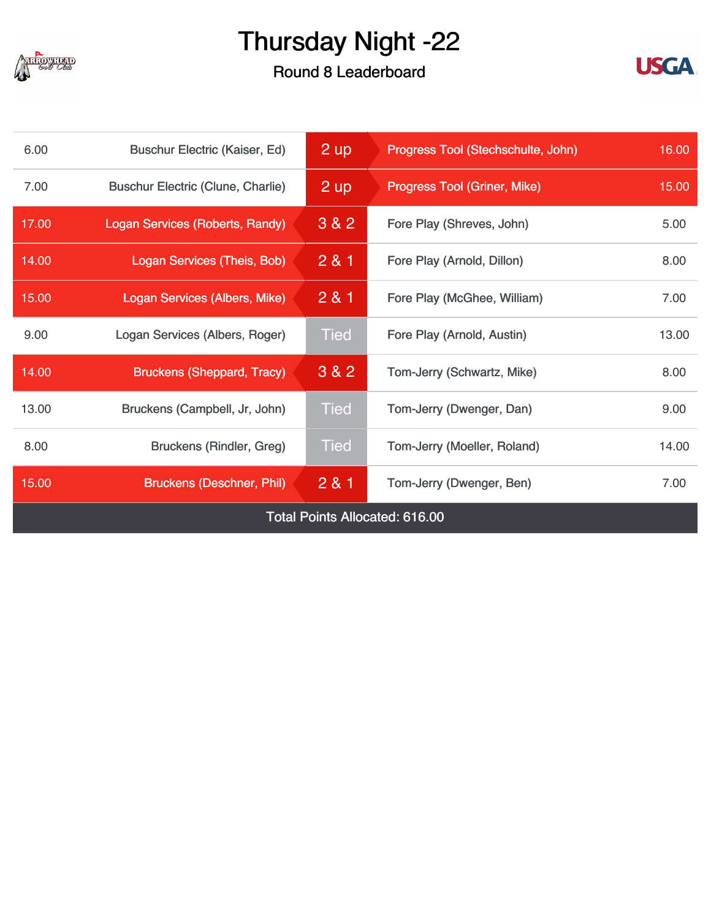

### Round 8 Leaderboard



| 6.00                                  | <b>Buschur Electric (Kaiser, Ed)</b>     | $2 \overline{up}$ | Progress Tool (Stechschulte, John)  | 16.00 |
|---------------------------------------|------------------------------------------|-------------------|-------------------------------------|-------|
| 7.00                                  | <b>Buschur Electric (Clune, Charlie)</b> | 2 up              | <b>Progress Tool (Griner, Mike)</b> | 15.00 |
| 17.00                                 | Logan Services (Roberts, Randy)          | 3 & 2             | Fore Play (Shreves, John)           | 5.00  |
| 14.00                                 | Logan Services (Theis, Bob)              | 281               | Fore Play (Arnold, Dillon)          | 8.00  |
| 15.00                                 | Logan Services (Albers, Mike)            | 2 & 1             | Fore Play (McGhee, William)         | 7.00  |
| 9.00                                  | Logan Services (Albers, Roger)           | <b>Tied</b>       | Fore Play (Arnold, Austin)          | 13.00 |
| 14.00                                 | <b>Bruckens (Sheppard, Tracy)</b>        | 3 & 2             | Tom-Jerry (Schwartz, Mike)          | 8.00  |
| 13.00                                 | Bruckens (Campbell, Jr, John)            | <b>Tied</b>       | Tom-Jerry (Dwenger, Dan)            | 9.00  |
| 8.00                                  | <b>Bruckens (Rindler, Greg)</b>          | <b>Tied</b>       | Tom-Jerry (Moeller, Roland)         | 14.00 |
| 15.00                                 | <b>Bruckens (Deschner, Phil)</b>         | 281               | Tom-Jerry (Dwenger, Ben)            | 7.00  |
| <b>Total Points Allocated: 616.00</b> |                                          |                   |                                     |       |